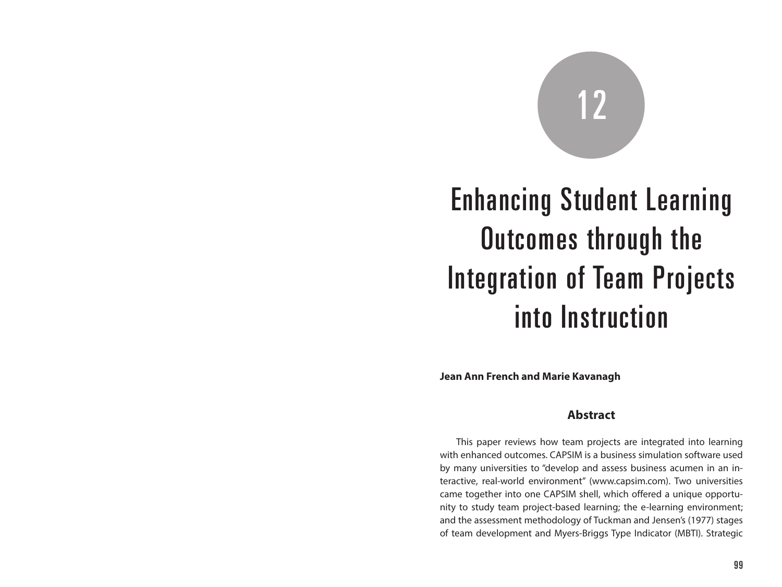# 12

## Enhancing Student Learning Outcomes through the Integration of Team Projects into Instruction

**Jean Ann French and Marie Kavanagh**

#### **Abstract**

This paper reviews how team projects are integrated into learning with enhanced outcomes. CAPSIM is a business simulation software used by many universities to "develop and assess business acumen in an interactive, real-world environment" (www.capsim.com). Two universities came together into one CAPSIM shell, which offered a unique opportunity to study team project-based learning; the e-learning environment; and the assessment methodology of Tuckman and Jensen's (1977) stages of team development and Myers-Briggs Type Indicator (MBTI). Strategic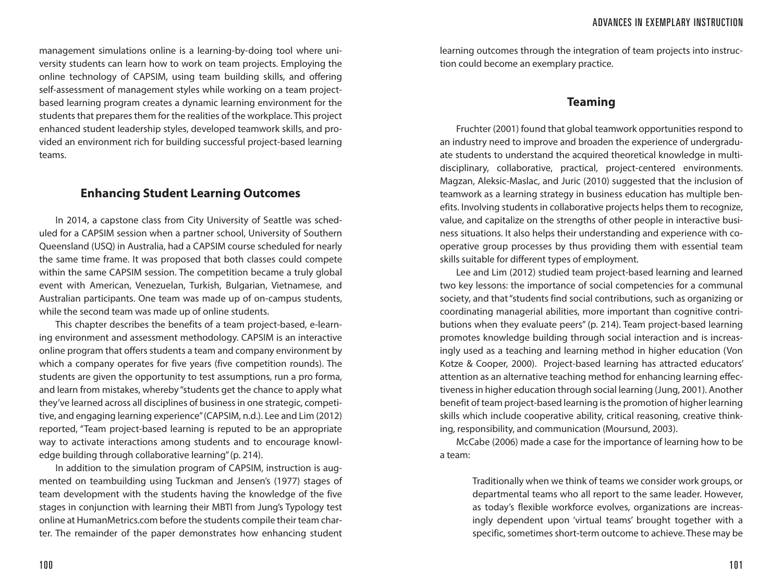management simulations online is a learning-by-doing tool where university students can learn how to work on team projects. Employing the online technology of CAPSIM, using team building skills, and offering self-assessment of management styles while working on a team projectbased learning program creates a dynamic learning environment for the students that prepares them for the realities of the workplace. This project enhanced student leadership styles, developed teamwork skills, and provided an environment rich for building successful project-based learning teams.

#### **Enhancing Student Learning Outcomes**

In 2014, a capstone class from City University of Seattle was scheduled for a CAPSIM session when a partner school, University of Southern Queensland (USQ) in Australia, had a CAPSIM course scheduled for nearly the same time frame. It was proposed that both classes could compete within the same CAPSIM session. The competition became a truly global event with American, Venezuelan, Turkish, Bulgarian, Vietnamese, and Australian participants. One team was made up of on-campus students, while the second team was made up of online students.

This chapter describes the benefits of a team project-based, e-learning environment and assessment methodology. CAPSIM is an interactive online program that offers students a team and company environment by which a company operates for five years (five competition rounds). The students are given the opportunity to test assumptions, run a pro forma, and learn from mistakes, whereby "students get the chance to apply what they've learned across all disciplines of business in one strategic, competitive, and engaging learning experience" (CAPSIM, n.d.). Lee and Lim (2012) reported, "Team project-based learning is reputed to be an appropriate way to activate interactions among students and to encourage knowledge building through collaborative learning" (p. 214).

In addition to the simulation program of CAPSIM, instruction is augmented on teambuilding using Tuckman and Jensen's (1977) stages of team development with the students having the knowledge of the five stages in conjunction with learning their MBTI from Jung's Typology test online at HumanMetrics.com before the students compile their team charter. The remainder of the paper demonstrates how enhancing student

learning outcomes through the integration of team projects into instruction could become an exemplary practice.

#### **Teaming**

Fruchter (2001) found that global teamwork opportunities respond to an industry need to improve and broaden the experience of undergraduate students to understand the acquired theoretical knowledge in multidisciplinary, collaborative, practical, project-centered environments. Magzan, Aleksic-Maslac, and Juric (2010) suggested that the inclusion of teamwork as a learning strategy in business education has multiple benefits. Involving students in collaborative projects helps them to recognize, value, and capitalize on the strengths of other people in interactive business situations. It also helps their understanding and experience with cooperative group processes by thus providing them with essential team skills suitable for different types of employment.

Lee and Lim (2012) studied team project-based learning and learned two key lessons: the importance of social competencies for a communal society, and that "students find social contributions, such as organizing or coordinating managerial abilities, more important than cognitive contributions when they evaluate peers" (p. 214). Team project-based learning promotes knowledge building through social interaction and is increasingly used as a teaching and learning method in higher education (Von Kotze & Cooper, 2000). Project-based learning has attracted educators' attention as an alternative teaching method for enhancing learning effectiveness in higher education through social learning (Jung, 2001). Another benefit of team project-based learning is the promotion of higher learning skills which include cooperative ability, critical reasoning, creative thinking, responsibility, and communication (Moursund, 2003).

McCabe (2006) made a case for the importance of learning how to be a team:

> Traditionally when we think of teams we consider work groups, or departmental teams who all report to the same leader. However, as today's flexible workforce evolves, organizations are increasingly dependent upon 'virtual teams' brought together with a specific, sometimes short-term outcome to achieve. These may be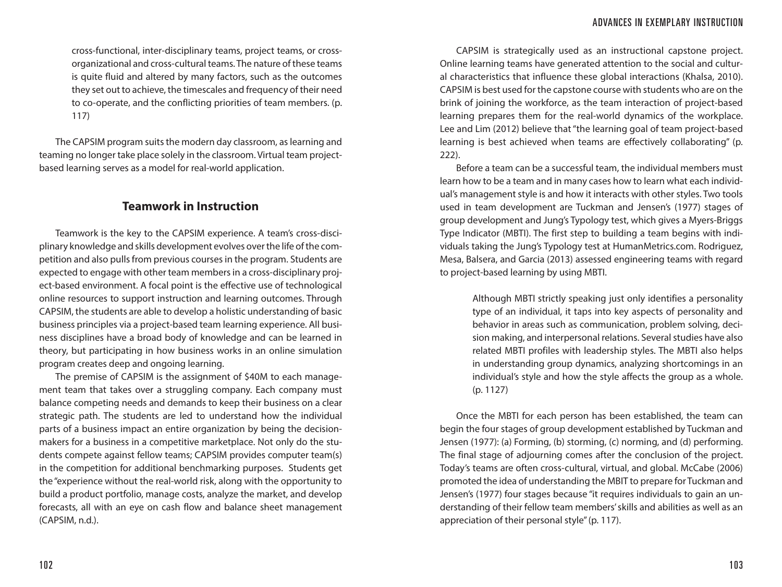cross-functional, inter-disciplinary teams, project teams, or crossorganizational and cross-cultural teams. The nature of these teams is quite fluid and altered by many factors, such as the outcomes they set out to achieve, the timescales and frequency of their need to co-operate, and the conflicting priorities of team members. (p. 117)

The CAPSIM program suits the modern day classroom, as learning and teaming no longer take place solely in the classroom. Virtual team projectbased learning serves as a model for real-world application.

#### **Teamwork in Instruction**

Teamwork is the key to the CAPSIM experience. A team's cross-disciplinary knowledge and skills development evolves over the life of the competition and also pulls from previous courses in the program. Students are expected to engage with other team members in a cross-disciplinary project-based environment. A focal point is the effective use of technological online resources to support instruction and learning outcomes. Through CAPSIM, the students are able to develop a holistic understanding of basic business principles via a project-based team learning experience. All business disciplines have a broad body of knowledge and can be learned in theory, but participating in how business works in an online simulation program creates deep and ongoing learning.

The premise of CAPSIM is the assignment of \$40M to each management team that takes over a struggling company. Each company must balance competing needs and demands to keep their business on a clear strategic path. The students are led to understand how the individual parts of a business impact an entire organization by being the decisionmakers for a business in a competitive marketplace. Not only do the students compete against fellow teams; CAPSIM provides computer team(s) in the competition for additional benchmarking purposes. Students get the "experience without the real-world risk, along with the opportunity to build a product portfolio, manage costs, analyze the market, and develop forecasts, all with an eye on cash flow and balance sheet management (CAPSIM, n.d.).

CAPSIM is strategically used as an instructional capstone project. Online learning teams have generated attention to the social and cultural characteristics that influence these global interactions (Khalsa, 2010). CAPSIM is best used for the capstone course with students who are on the brink of joining the workforce, as the team interaction of project-based learning prepares them for the real-world dynamics of the workplace. Lee and Lim (2012) believe that "the learning goal of team project-based learning is best achieved when teams are effectively collaborating" (p. 222).

Before a team can be a successful team, the individual members must learn how to be a team and in many cases how to learn what each individual's management style is and how it interacts with other styles. Two tools used in team development are Tuckman and Jensen's (1977) stages of group development and Jung's Typology test, which gives a Myers-Briggs Type Indicator (MBTI). The first step to building a team begins with individuals taking the Jung's Typology test at HumanMetrics.com. Rodriguez, Mesa, Balsera, and Garcia (2013) assessed engineering teams with regard to project-based learning by using MBTI.

> Although MBTI strictly speaking just only identifies a personality type of an individual, it taps into key aspects of personality and behavior in areas such as communication, problem solving, decision making, and interpersonal relations. Several studies have also related MBTI profiles with leadership styles. The MBTI also helps in understanding group dynamics, analyzing shortcomings in an individual's style and how the style affects the group as a whole. (p. 1127)

Once the MBTI for each person has been established, the team can begin the four stages of group development established by Tuckman and Jensen (1977): (a) Forming, (b) storming, (c) norming, and (d) performing. The final stage of adjourning comes after the conclusion of the project. Today's teams are often cross-cultural, virtual, and global. McCabe (2006) promoted the idea of understanding the MBIT to prepare for Tuckman and Jensen's (1977) four stages because "it requires individuals to gain an understanding of their fellow team members' skills and abilities as well as an appreciation of their personal style" (p. 117).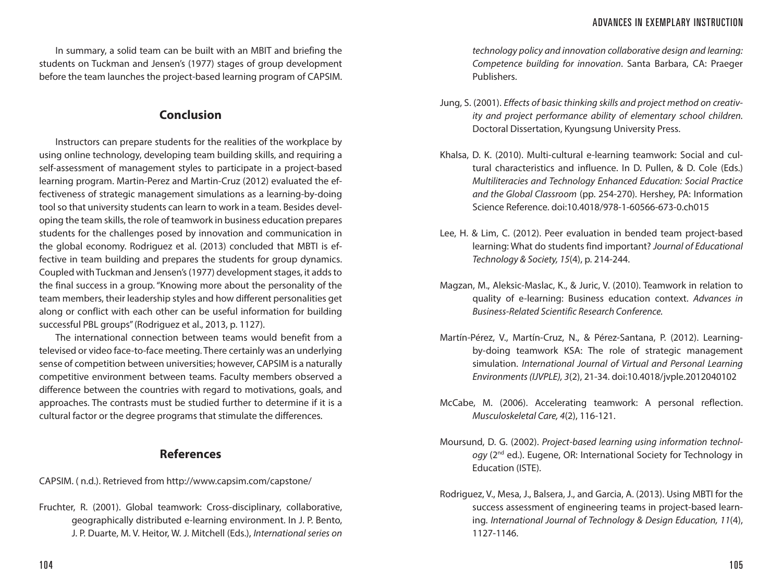In summary, a solid team can be built with an MBIT and briefing the students on Tuckman and Jensen's (1977) stages of group development before the team launches the project-based learning program of CAPSIM.

#### **Conclusion**

Instructors can prepare students for the realities of the workplace by using online technology, developing team building skills, and requiring a self-assessment of management styles to participate in a project-based learning program. Martin-Perez and Martin-Cruz (2012) evaluated the effectiveness of strategic management simulations as a learning-by-doing tool so that university students can learn to work in a team. Besides developing the team skills, the role of teamwork in business education prepares students for the challenges posed by innovation and communication in the global economy. Rodriguez et al. (2013) concluded that MBTI is effective in team building and prepares the students for group dynamics. Coupled with Tuckman and Jensen's (1977) development stages, it adds to the final success in a group. "Knowing more about the personality of the team members, their leadership styles and how different personalities get along or conflict with each other can be useful information for building successful PBL groups" (Rodriguez et al., 2013, p. 1127).

The international connection between teams would benefit from a televised or video face-to-face meeting. There certainly was an underlying sense of competition between universities; however, CAPSIM is a naturally competitive environment between teams. Faculty members observed a difference between the countries with regard to motivations, goals, and approaches. The contrasts must be studied further to determine if it is a cultural factor or the degree programs that stimulate the differences.

### **References**

CAPSIM. ( n.d.). Retrieved from http://www.capsim.com/capstone/

Fruchter, R. (2001). Global teamwork: Cross-disciplinary, collaborative, geographically distributed e-learning environment. In J. P. Bento, J. P. Duarte, M. V. Heitor, W. J. Mitchell (Eds.), *International series on*  *technology policy and innovation collaborative design and learning: Competence building for innovation*. Santa Barbara, CA: Praeger Publishers.

- Jung, S. (2001). *Effects of basic thinking skills and project method on creativity and project performance ability of elementary school children.* Doctoral Dissertation, Kyungsung University Press.
- Khalsa, D. K. (2010). Multi-cultural e-learning teamwork: Social and cultural characteristics and influence. In D. Pullen, & D. Cole (Eds.) *Multiliteracies and Technology Enhanced Education: Social Practice and the Global Classroom* (pp. 254-270). Hershey, PA: Information Science Reference. doi:10.4018/978-1-60566-673-0.ch015
- Lee, H. & Lim, C. (2012). Peer evaluation in bended team project-based learning: What do students find important? *Journal of Educational Technology & Society, 15*(4), p. 214-244.
- Magzan, M., Aleksic-Maslac, K., & Juric, V. (2010). Teamwork in relation to quality of e-learning: Business education context. *Advances in Business-Related Scientific Research Conference.*
- Martín-Pérez, V., Martín-Cruz, N., & Pérez-Santana, P. (2012). Learningby-doing teamwork KSA: The role of strategic management simulation. *International Journal of Virtual and Personal Learning Environments (IJVPLE), 3*(2), 21-34. doi:10.4018/jvple.2012040102
- McCabe, M. (2006). Accelerating teamwork: A personal reflection. *Musculoskeletal Care, 4*(2), 116-121.
- Moursund, D. G. (2002). *Project-based learning using information technology* (2nd ed.). Eugene, OR: International Society for Technology in Education (ISTE).
- Rodriguez, V., Mesa, J., Balsera, J., and Garcia, A. (2013). Using MBTI for the success assessment of engineering teams in project-based learning. *International Journal of Technology & Design Education, 11*(4), 1127-1146.